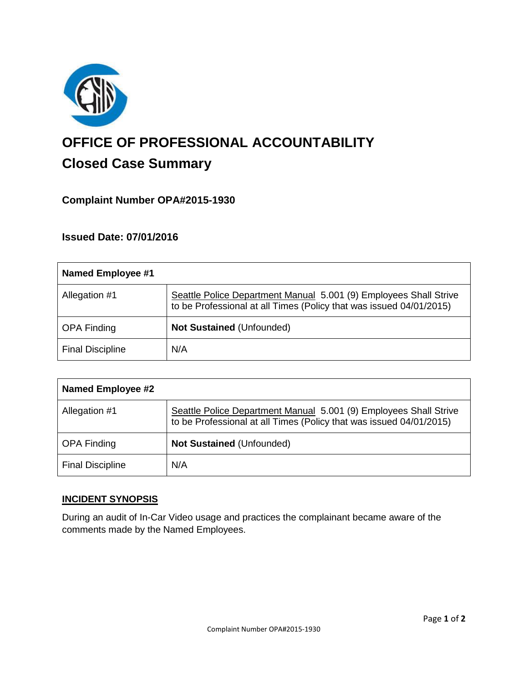

# **OFFICE OF PROFESSIONAL ACCOUNTABILITY Closed Case Summary**

## **Complaint Number OPA#2015-1930**

### **Issued Date: 07/01/2016**

| Named Employee #1       |                                                                                                                                          |
|-------------------------|------------------------------------------------------------------------------------------------------------------------------------------|
| Allegation #1           | Seattle Police Department Manual 5.001 (9) Employees Shall Strive<br>to be Professional at all Times (Policy that was issued 04/01/2015) |
| <b>OPA Finding</b>      | <b>Not Sustained (Unfounded)</b>                                                                                                         |
| <b>Final Discipline</b> | N/A                                                                                                                                      |

| Named Employee #2       |                                                                                                                                          |
|-------------------------|------------------------------------------------------------------------------------------------------------------------------------------|
| Allegation #1           | Seattle Police Department Manual 5.001 (9) Employees Shall Strive<br>to be Professional at all Times (Policy that was issued 04/01/2015) |
| <b>OPA Finding</b>      | <b>Not Sustained (Unfounded)</b>                                                                                                         |
| <b>Final Discipline</b> | N/A                                                                                                                                      |

#### **INCIDENT SYNOPSIS**

During an audit of In-Car Video usage and practices the complainant became aware of the comments made by the Named Employees.